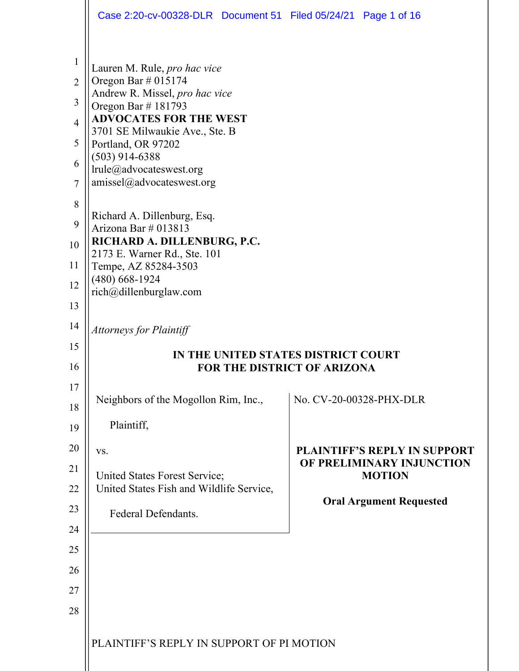|                                                                                             | Case 2:20-cv-00328-DLR  Document 51  Filed 05/24/21  Page 1 of 16                                                                                                                                                                                                                                                      |                                                                                   |                                |  |  |
|---------------------------------------------------------------------------------------------|------------------------------------------------------------------------------------------------------------------------------------------------------------------------------------------------------------------------------------------------------------------------------------------------------------------------|-----------------------------------------------------------------------------------|--------------------------------|--|--|
| $\mathbf{1}$<br>$\overline{2}$<br>3<br>$\overline{4}$<br>5<br>6<br>$\overline{7}$<br>8<br>9 | Lauren M. Rule, pro hac vice<br>Oregon Bar $\#$ 015174<br>Andrew R. Missel, pro hac vice<br>Oregon Bar $\#$ 181793<br><b>ADVOCATES FOR THE WEST</b><br>3701 SE Milwaukie Ave., Ste. B<br>Portland, OR 97202<br>$(503)$ 914-6388<br>lrule@advocateswest.org<br>amissel@advocateswest.org<br>Richard A. Dillenburg, Esq. |                                                                                   |                                |  |  |
| 10                                                                                          | Arizona Bar # 013813<br>RICHARD A. DILLENBURG, P.C.                                                                                                                                                                                                                                                                    |                                                                                   |                                |  |  |
| 11                                                                                          | 2173 E. Warner Rd., Ste. 101<br>Tempe, AZ 85284-3503                                                                                                                                                                                                                                                                   |                                                                                   |                                |  |  |
| 12                                                                                          | $(480)$ 668-1924<br>rich@dillenburglaw.com                                                                                                                                                                                                                                                                             |                                                                                   |                                |  |  |
| 13                                                                                          |                                                                                                                                                                                                                                                                                                                        |                                                                                   |                                |  |  |
| 14                                                                                          | <b>Attorneys for Plaintiff</b>                                                                                                                                                                                                                                                                                         |                                                                                   |                                |  |  |
| 15<br>16                                                                                    | IN THE UNITED STATES DISTRICT COURT                                                                                                                                                                                                                                                                                    |                                                                                   |                                |  |  |
| 17                                                                                          | <b>FOR THE DISTRICT OF ARIZONA</b>                                                                                                                                                                                                                                                                                     |                                                                                   |                                |  |  |
| 18                                                                                          | Neighbors of the Mogollon Rim, Inc.,                                                                                                                                                                                                                                                                                   |                                                                                   | No. CV-20-00328-PHX-DLR        |  |  |
| 19                                                                                          | Plaintiff,                                                                                                                                                                                                                                                                                                             |                                                                                   |                                |  |  |
| 20                                                                                          | VS.                                                                                                                                                                                                                                                                                                                    | <b>PLAINTIFF'S REPLY IN SUPPORT</b><br>OF PRELIMINARY INJUNCTION<br><b>MOTION</b> |                                |  |  |
| 21                                                                                          | United States Forest Service;                                                                                                                                                                                                                                                                                          |                                                                                   |                                |  |  |
| 22                                                                                          | United States Fish and Wildlife Service,                                                                                                                                                                                                                                                                               |                                                                                   | <b>Oral Argument Requested</b> |  |  |
| 23                                                                                          | Federal Defendants.                                                                                                                                                                                                                                                                                                    |                                                                                   |                                |  |  |
| 24                                                                                          |                                                                                                                                                                                                                                                                                                                        |                                                                                   |                                |  |  |
| 25                                                                                          |                                                                                                                                                                                                                                                                                                                        |                                                                                   |                                |  |  |
|                                                                                             |                                                                                                                                                                                                                                                                                                                        |                                                                                   |                                |  |  |
| 26<br>27                                                                                    |                                                                                                                                                                                                                                                                                                                        |                                                                                   |                                |  |  |
| 28                                                                                          |                                                                                                                                                                                                                                                                                                                        |                                                                                   |                                |  |  |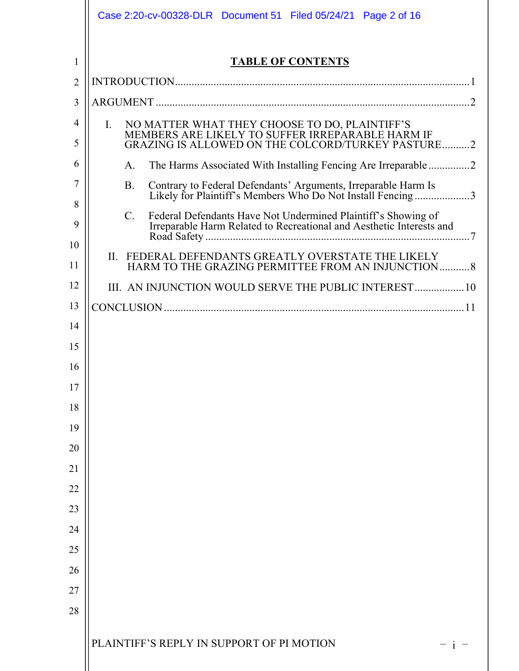|                | Case 2:20-cv-00328-DLR  Document 51  Filed 05/24/21  Page 2 of 16                                                                                                |
|----------------|------------------------------------------------------------------------------------------------------------------------------------------------------------------|
|                |                                                                                                                                                                  |
| 1              | <b>TABLE OF CONTENTS</b>                                                                                                                                         |
| $\overline{2}$ |                                                                                                                                                                  |
| 3              |                                                                                                                                                                  |
| 4<br>5         | NO MATTER WHAT THEY CHOOSE TO DO, PLAINTIFF'S MEMBERS ARE LIKELY TO SUFFER IRREPARABLE HARM IF<br>Ι.<br><b>GRAZING IS ALLOWED ON THE COLCORD/TURKEY PASTURE2</b> |
| 6              | The Harms Associated With Installing Fencing Are Irreparable2<br>A.                                                                                              |
| 7              | Contrary to Federal Defendants' Arguments, Irreparable Harm Is<br>Likely for Plaintiff's Members Who Do Not Install Fencing3<br><b>B.</b>                        |
| 8              | $C_{\cdot}$                                                                                                                                                      |
| 9              |                                                                                                                                                                  |
| 10<br>11       | FEDERAL DEFENDANTS GREATLY OVERSTATE THE LIKELY<br>П.<br>HARM TO THE GRAZING PERMITTEE FROM AN INJUNCTION 8                                                      |
| 12             | III. AN INJUNCTION WOULD SERVE THE PUBLIC INTEREST 10                                                                                                            |
| 13             |                                                                                                                                                                  |
| 14             |                                                                                                                                                                  |
| 15             |                                                                                                                                                                  |
| 16             |                                                                                                                                                                  |
| 17             |                                                                                                                                                                  |
| 18             |                                                                                                                                                                  |
| 19             |                                                                                                                                                                  |
| 20             |                                                                                                                                                                  |
| 21             |                                                                                                                                                                  |
| 22             |                                                                                                                                                                  |
| 23             |                                                                                                                                                                  |
| 24             |                                                                                                                                                                  |
| 25             |                                                                                                                                                                  |
| 26             |                                                                                                                                                                  |
| 27             |                                                                                                                                                                  |
| 28             |                                                                                                                                                                  |
|                | PLAINTIFF'S REPLY IN SUPPORT OF PI MOTION                                                                                                                        |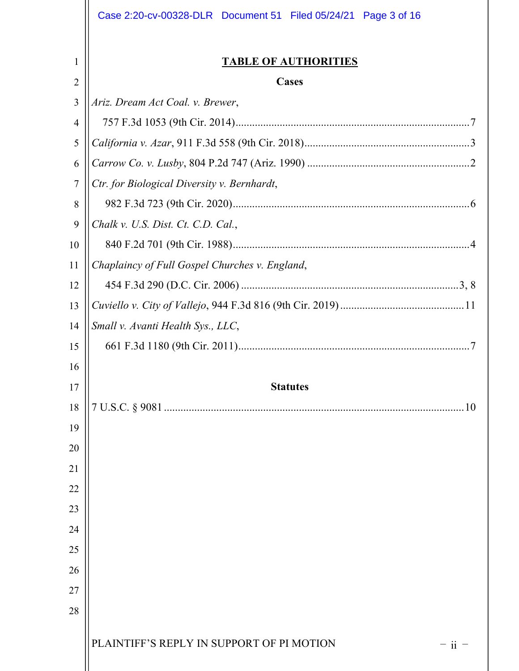|                | Case 2:20-cv-00328-DLR  Document 51  Filed 05/24/21  Page 3 of 16 |  |  |  |  |
|----------------|-------------------------------------------------------------------|--|--|--|--|
| 1              | <b>TABLE OF AUTHORITIES</b>                                       |  |  |  |  |
| $\overline{2}$ | <b>Cases</b>                                                      |  |  |  |  |
| 3              | Ariz. Dream Act Coal. v. Brewer,                                  |  |  |  |  |
| 4              |                                                                   |  |  |  |  |
| 5              |                                                                   |  |  |  |  |
| 6              |                                                                   |  |  |  |  |
| $\tau$         | Ctr. for Biological Diversity v. Bernhardt,                       |  |  |  |  |
| 8              |                                                                   |  |  |  |  |
| 9              | Chalk v. U.S. Dist. Ct. C.D. Cal.,                                |  |  |  |  |
| 10             |                                                                   |  |  |  |  |
| 11             | Chaplaincy of Full Gospel Churches v. England,                    |  |  |  |  |
| 12             |                                                                   |  |  |  |  |
| 13             |                                                                   |  |  |  |  |
| 14             | Small v. Avanti Health Sys., LLC,                                 |  |  |  |  |
| 15             |                                                                   |  |  |  |  |
| 16             |                                                                   |  |  |  |  |
| 17             | <b>Statutes</b>                                                   |  |  |  |  |
| 18             |                                                                   |  |  |  |  |
| 19             |                                                                   |  |  |  |  |
| 20             |                                                                   |  |  |  |  |
| 21             |                                                                   |  |  |  |  |
| 22             |                                                                   |  |  |  |  |
| 23             |                                                                   |  |  |  |  |
| 24             |                                                                   |  |  |  |  |
| 25             |                                                                   |  |  |  |  |
| 26             |                                                                   |  |  |  |  |
| 27             |                                                                   |  |  |  |  |
| 28             |                                                                   |  |  |  |  |
|                | PLAINTIFF'S REPLY IN SUPPORT OF PI MOTION<br>$-$ ii $-$           |  |  |  |  |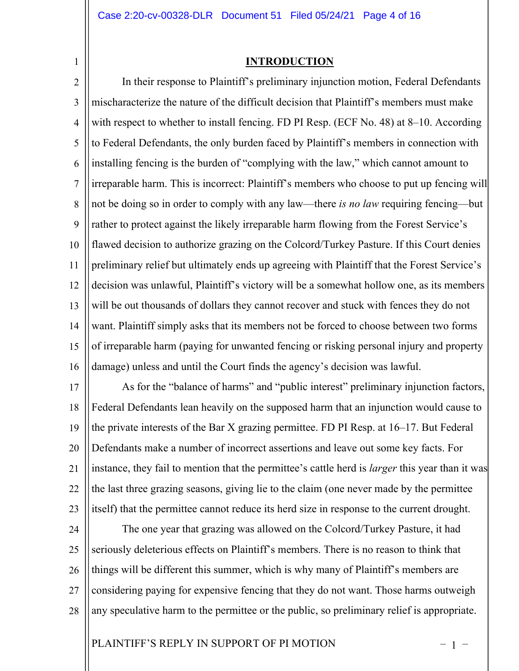1

## **INTRODUCTION**

2 3 4 5 6 7 8 9 10 11 12 13 14 15 16 In their response to Plaintiff's preliminary injunction motion, Federal Defendants mischaracterize the nature of the difficult decision that Plaintiff's members must make with respect to whether to install fencing. FD PI Resp. (ECF No. 48) at 8–10. According to Federal Defendants, the only burden faced by Plaintiff's members in connection with installing fencing is the burden of "complying with the law," which cannot amount to irreparable harm. This is incorrect: Plaintiff's members who choose to put up fencing will not be doing so in order to comply with any law—there *is no law* requiring fencing—but rather to protect against the likely irreparable harm flowing from the Forest Service's flawed decision to authorize grazing on the Colcord/Turkey Pasture. If this Court denies preliminary relief but ultimately ends up agreeing with Plaintiff that the Forest Service's decision was unlawful, Plaintiff's victory will be a somewhat hollow one, as its members will be out thousands of dollars they cannot recover and stuck with fences they do not want. Plaintiff simply asks that its members not be forced to choose between two forms of irreparable harm (paying for unwanted fencing or risking personal injury and property damage) unless and until the Court finds the agency's decision was lawful.

17 18 19 20 21 22 23 As for the "balance of harms" and "public interest" preliminary injunction factors, Federal Defendants lean heavily on the supposed harm that an injunction would cause to the private interests of the Bar X grazing permittee. FD PI Resp. at 16–17. But Federal Defendants make a number of incorrect assertions and leave out some key facts. For instance, they fail to mention that the permittee's cattle herd is *larger* this year than it was the last three grazing seasons, giving lie to the claim (one never made by the permittee itself) that the permittee cannot reduce its herd size in response to the current drought.

24 25 26 27 28 The one year that grazing was allowed on the Colcord/Turkey Pasture, it had seriously deleterious effects on Plaintiff's members. There is no reason to think that things will be different this summer, which is why many of Plaintiff's members are considering paying for expensive fencing that they do not want. Those harms outweigh any speculative harm to the permittee or the public, so preliminary relief is appropriate.

# PLAINTIFF'S REPLY IN SUPPORT OF PI MOTION  $-1$  –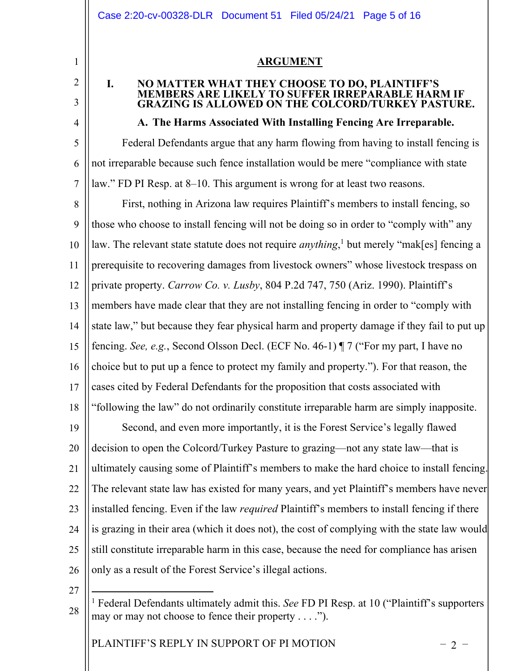## **ARGUMENT**

# **I. NO MATTER WHAT THEY CHOOSE TO DO, PLAINTIFF'S MEMBERS ARE LIKELY TO SUFFER IRREPARABLE HARM IF GRAZING IS ALLOWED ON THE COLCORD/TURKEY PASTURE.**

# **A. The Harms Associated With Installing Fencing Are Irreparable.**

5 6 7 Federal Defendants argue that any harm flowing from having to install fencing is not irreparable because such fence installation would be mere "compliance with state law." FD PI Resp. at 8–10. This argument is wrong for at least two reasons.

8 9 10 11 12 13 14 15 16 17 18 19 20 21 22 23 24 25 26 First, nothing in Arizona law requires Plaintiff's members to install fencing, so those who choose to install fencing will not be doing so in order to "comply with" any law. The relevant state statute does not require *anything*, <sup>1</sup> but merely "mak[es] fencing a prerequisite to recovering damages from livestock owners" whose livestock trespass on private property. *Carrow Co. v. Lusby*, 804 P.2d 747, 750 (Ariz. 1990). Plaintiff's members have made clear that they are not installing fencing in order to "comply with state law," but because they fear physical harm and property damage if they fail to put up fencing. *See, e.g.*, Second Olsson Decl. (ECF No. 46-1) ¶ 7 ("For my part, I have no choice but to put up a fence to protect my family and property."). For that reason, the cases cited by Federal Defendants for the proposition that costs associated with "following the law" do not ordinarily constitute irreparable harm are simply inapposite. Second, and even more importantly, it is the Forest Service's legally flawed decision to open the Colcord/Turkey Pasture to grazing—not any state law—that is ultimately causing some of Plaintiff's members to make the hard choice to install fencing. The relevant state law has existed for many years, and yet Plaintiff's members have never installed fencing. Even if the law *required* Plaintiff's members to install fencing if there is grazing in their area (which it does not), the cost of complying with the state law would still constitute irreparable harm in this case, because the need for compliance has arisen only as a result of the Forest Service's illegal actions.

27

28

1

2

3

4

PLAINTIFF'S REPLY IN SUPPORT OF PI MOTION  $-2$  –

<sup>1</sup> Federal Defendants ultimately admit this. *See* FD PI Resp. at 10 ("Plaintiff's supporters may or may not choose to fence their property . . . .").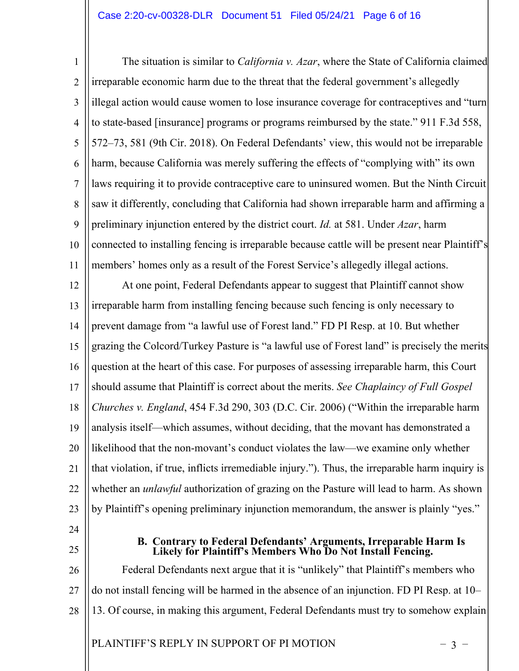### Case 2:20-cv-00328-DLR Document 51 Filed 05/24/21 Page 6 of 16

1 2 3 4 5 6 7 8 9 10 11 The situation is similar to *California v. Azar*, where the State of California claimed irreparable economic harm due to the threat that the federal government's allegedly illegal action would cause women to lose insurance coverage for contraceptives and "turn to state-based [insurance] programs or programs reimbursed by the state." 911 F.3d 558, 572–73, 581 (9th Cir. 2018). On Federal Defendants' view, this would not be irreparable harm, because California was merely suffering the effects of "complying with" its own laws requiring it to provide contraceptive care to uninsured women. But the Ninth Circuit saw it differently, concluding that California had shown irreparable harm and affirming a preliminary injunction entered by the district court. *Id.* at 581. Under *Azar*, harm connected to installing fencing is irreparable because cattle will be present near Plaintiff's members' homes only as a result of the Forest Service's allegedly illegal actions.

12 13 14 15 16 17 18 19 20 21 22 23 At one point, Federal Defendants appear to suggest that Plaintiff cannot show irreparable harm from installing fencing because such fencing is only necessary to prevent damage from "a lawful use of Forest land." FD PI Resp. at 10. But whether grazing the Colcord/Turkey Pasture is "a lawful use of Forest land" is precisely the merits question at the heart of this case. For purposes of assessing irreparable harm, this Court should assume that Plaintiff is correct about the merits. *See Chaplaincy of Full Gospel Churches v. England*, 454 F.3d 290, 303 (D.C. Cir. 2006) ("Within the irreparable harm analysis itself—which assumes, without deciding, that the movant has demonstrated a likelihood that the non-movant's conduct violates the law—we examine only whether that violation, if true, inflicts irremediable injury."). Thus, the irreparable harm inquiry is whether an *unlawful* authorization of grazing on the Pasture will lead to harm. As shown by Plaintiff's opening preliminary injunction memorandum, the answer is plainly "yes."

- 24
- 25

#### **B. Contrary to Federal Defendants' Arguments, Irreparable Harm Is Likely for Plaintiff's Members Who Do Not Install Fencing.**

26 27 28 Federal Defendants next argue that it is "unlikely" that Plaintiff's members who do not install fencing will be harmed in the absence of an injunction. FD PI Resp. at 10– 13. Of course, in making this argument, Federal Defendants must try to somehow explain

PLAINTIFF'S REPLY IN SUPPORT OF PI MOTION  $-3$  –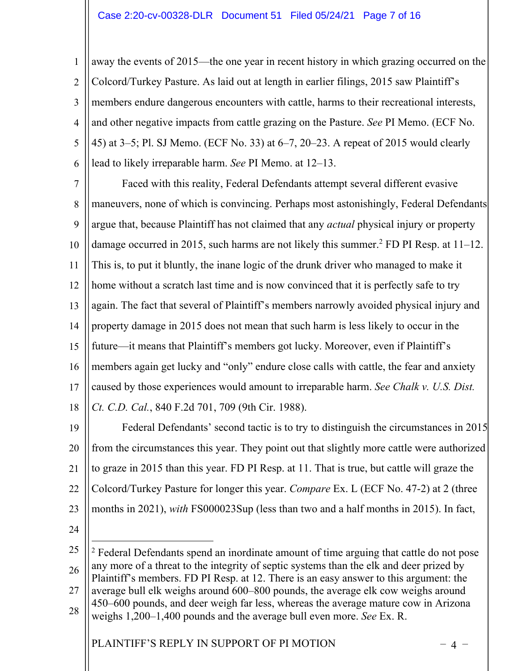1 2 3 4 5 6 away the events of 2015—the one year in recent history in which grazing occurred on the Colcord/Turkey Pasture. As laid out at length in earlier filings, 2015 saw Plaintiff's members endure dangerous encounters with cattle, harms to their recreational interests, and other negative impacts from cattle grazing on the Pasture. *See* PI Memo. (ECF No. 45) at 3–5; Pl. SJ Memo. (ECF No. 33) at 6–7, 20–23. A repeat of 2015 would clearly lead to likely irreparable harm. *See* PI Memo. at 12–13.

7 8 9 10 11 12 13 14 15 16 17 18 Faced with this reality, Federal Defendants attempt several different evasive maneuvers, none of which is convincing. Perhaps most astonishingly, Federal Defendants argue that, because Plaintiff has not claimed that any *actual* physical injury or property damage occurred in 2015, such harms are not likely this summer.<sup>2</sup> FD PI Resp. at  $11-12$ . This is, to put it bluntly, the inane logic of the drunk driver who managed to make it home without a scratch last time and is now convinced that it is perfectly safe to try again. The fact that several of Plaintiff's members narrowly avoided physical injury and property damage in 2015 does not mean that such harm is less likely to occur in the future—it means that Plaintiff's members got lucky. Moreover, even if Plaintiff's members again get lucky and "only" endure close calls with cattle, the fear and anxiety caused by those experiences would amount to irreparable harm. *See Chalk v. U.S. Dist. Ct. C.D. Cal.*, 840 F.2d 701, 709 (9th Cir. 1988).

19 20 21 22 23 Federal Defendants' second tactic is to try to distinguish the circumstances in 2015 from the circumstances this year. They point out that slightly more cattle were authorized to graze in 2015 than this year. FD PI Resp. at 11. That is true, but cattle will graze the Colcord/Turkey Pasture for longer this year. *Compare* Ex. L (ECF No. 47-2) at 2 (three months in 2021), *with* FS000023Sup (less than two and a half months in 2015). In fact,

24

25 26 27 28 <sup>2</sup> Federal Defendants spend an inordinate amount of time arguing that cattle do not pose any more of a threat to the integrity of septic systems than the elk and deer prized by Plaintiff's members. FD PI Resp. at 12. There is an easy answer to this argument: the average bull elk weighs around 600–800 pounds, the average elk cow weighs around 450–600 pounds, and deer weigh far less, whereas the average mature cow in Arizona weighs 1,200–1,400 pounds and the average bull even more. *See* Ex. R.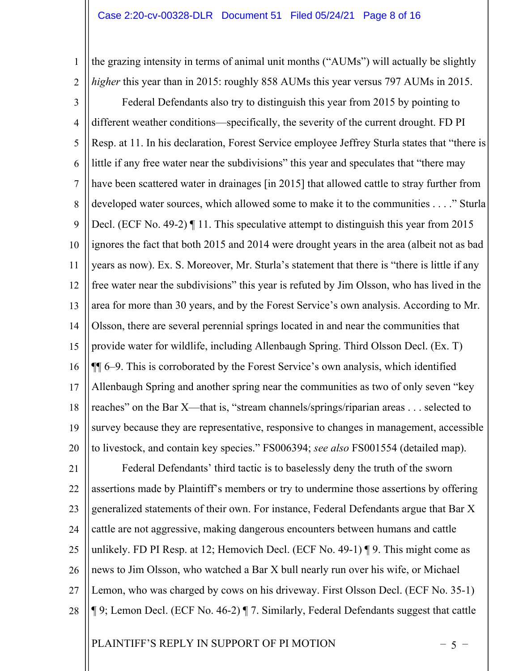1 2 the grazing intensity in terms of animal unit months ("AUMs") will actually be slightly *higher* this year than in 2015: roughly 858 AUMs this year versus 797 AUMs in 2015.

3 4 5 6 7 8 9 10 11 12 13 14 15 16 17 18 19 20 Federal Defendants also try to distinguish this year from 2015 by pointing to different weather conditions—specifically, the severity of the current drought. FD PI Resp. at 11. In his declaration, Forest Service employee Jeffrey Sturla states that "there is little if any free water near the subdivisions" this year and speculates that "there may have been scattered water in drainages [in 2015] that allowed cattle to stray further from developed water sources, which allowed some to make it to the communities . . . ." Sturla Decl. (ECF No. 49-2) I 11. This speculative attempt to distinguish this year from 2015 ignores the fact that both 2015 and 2014 were drought years in the area (albeit not as bad years as now). Ex. S. Moreover, Mr. Sturla's statement that there is "there is little if any free water near the subdivisions" this year is refuted by Jim Olsson, who has lived in the area for more than 30 years, and by the Forest Service's own analysis. According to Mr. Olsson, there are several perennial springs located in and near the communities that provide water for wildlife, including Allenbaugh Spring. Third Olsson Decl. (Ex. T) ¶¶ 6–9. This is corroborated by the Forest Service's own analysis, which identified Allenbaugh Spring and another spring near the communities as two of only seven "key reaches" on the Bar X—that is, "stream channels/springs/riparian areas . . . selected to survey because they are representative, responsive to changes in management, accessible to livestock, and contain key species." FS006394; *see also* FS001554 (detailed map).

21 22 23 24 25 26 27 28 Federal Defendants' third tactic is to baselessly deny the truth of the sworn assertions made by Plaintiff's members or try to undermine those assertions by offering generalized statements of their own. For instance, Federal Defendants argue that Bar X cattle are not aggressive, making dangerous encounters between humans and cattle unlikely. FD PI Resp. at 12; Hemovich Decl. (ECF No. 49-1) ¶ 9. This might come as news to Jim Olsson, who watched a Bar X bull nearly run over his wife, or Michael Lemon, who was charged by cows on his driveway. First Olsson Decl. (ECF No. 35-1) ¶ 9; Lemon Decl. (ECF No. 46-2) ¶ 7. Similarly, Federal Defendants suggest that cattle

PLAINTIFF'S REPLY IN SUPPORT OF PI MOTION  $-5$  –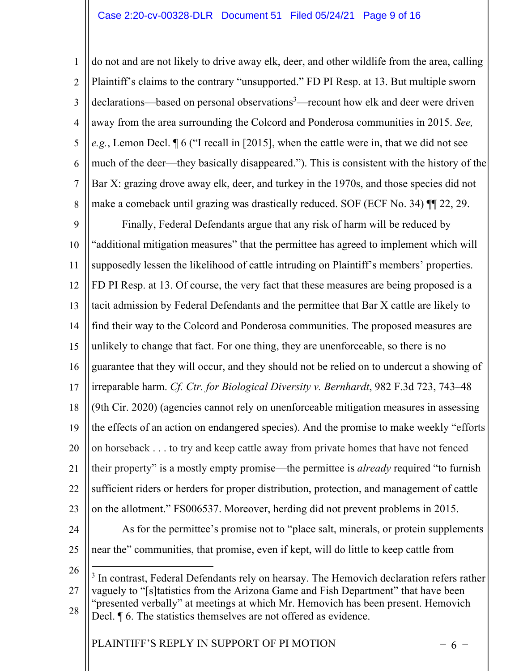1 2 3 4 5 6 7 8 do not and are not likely to drive away elk, deer, and other wildlife from the area, calling Plaintiff's claims to the contrary "unsupported." FD PI Resp. at 13. But multiple sworn declarations—based on personal observations<sup>3</sup>—recount how elk and deer were driven away from the area surrounding the Colcord and Ponderosa communities in 2015. *See, e.g.*, Lemon Decl. ¶ 6 ("I recall in [2015], when the cattle were in, that we did not see much of the deer—they basically disappeared."). This is consistent with the history of the Bar X: grazing drove away elk, deer, and turkey in the 1970s, and those species did not make a comeback until grazing was drastically reduced. SOF (ECF No. 34) ¶¶ 22, 29.

9 10 11 12 13 14 15 16 17 18 19 20 21 22 23 Finally, Federal Defendants argue that any risk of harm will be reduced by "additional mitigation measures" that the permittee has agreed to implement which will supposedly lessen the likelihood of cattle intruding on Plaintiff's members' properties. FD PI Resp. at 13. Of course, the very fact that these measures are being proposed is a tacit admission by Federal Defendants and the permittee that Bar X cattle are likely to find their way to the Colcord and Ponderosa communities. The proposed measures are unlikely to change that fact. For one thing, they are unenforceable, so there is no guarantee that they will occur, and they should not be relied on to undercut a showing of irreparable harm. *Cf. Ctr. for Biological Diversity v. Bernhardt*, 982 F.3d 723, 743–48 (9th Cir. 2020) (agencies cannot rely on unenforceable mitigation measures in assessing the effects of an action on endangered species). And the promise to make weekly "efforts on horseback . . . to try and keep cattle away from private homes that have not fenced their property" is a mostly empty promise—the permittee is *already* required "to furnish sufficient riders or herders for proper distribution, protection, and management of cattle on the allotment." FS006537. Moreover, herding did not prevent problems in 2015.

24 25

As for the permittee's promise not to "place salt, minerals, or protein supplements near the" communities, that promise, even if kept, will do little to keep cattle from

26

27 28 <sup>3</sup> In contrast, Federal Defendants rely on hearsay. The Hemovich declaration refers rather vaguely to "[s]tatistics from the Arizona Game and Fish Department" that have been "presented verbally" at meetings at which Mr. Hemovich has been present. Hemovich Decl.  $\P$  6. The statistics themselves are not offered as evidence.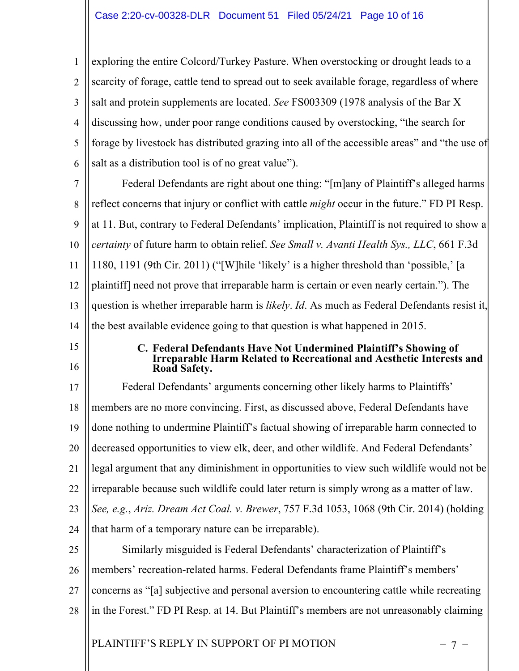1 2 3 4 5 6 exploring the entire Colcord/Turkey Pasture. When overstocking or drought leads to a scarcity of forage, cattle tend to spread out to seek available forage, regardless of where salt and protein supplements are located. *See* FS003309 (1978 analysis of the Bar X discussing how, under poor range conditions caused by overstocking, "the search for forage by livestock has distributed grazing into all of the accessible areas" and "the use of salt as a distribution tool is of no great value").

7 8 9 10 11 12 13 14 Federal Defendants are right about one thing: "[m]any of Plaintiff's alleged harms reflect concerns that injury or conflict with cattle *might* occur in the future." FD PI Resp. at 11. But, contrary to Federal Defendants' implication, Plaintiff is not required to show a *certainty* of future harm to obtain relief. *See Small v. Avanti Health Sys., LLC*, 661 F.3d 1180, 1191 (9th Cir. 2011) ("[W]hile 'likely' is a higher threshold than 'possible,' [a plaintiff] need not prove that irreparable harm is certain or even nearly certain."). The question is whether irreparable harm is *likely*. *Id*. As much as Federal Defendants resist it, the best available evidence going to that question is what happened in 2015.

- 15
- 16

#### **C. Federal Defendants Have Not Undermined Plaintiff's Showing of Irreparable Harm Related to Recreational and Aesthetic Interests and Road Safety.**

17 18 19 20 21 22 23 24 25 Federal Defendants' arguments concerning other likely harms to Plaintiffs' members are no more convincing. First, as discussed above, Federal Defendants have done nothing to undermine Plaintiff's factual showing of irreparable harm connected to decreased opportunities to view elk, deer, and other wildlife. And Federal Defendants' legal argument that any diminishment in opportunities to view such wildlife would not be irreparable because such wildlife could later return is simply wrong as a matter of law. *See, e.g.*, *Ariz. Dream Act Coal. v. Brewer*, 757 F.3d 1053, 1068 (9th Cir. 2014) (holding that harm of a temporary nature can be irreparable). Similarly misguided is Federal Defendants' characterization of Plaintiff's

26 members' recreation-related harms. Federal Defendants frame Plaintiff's members'

- 27 concerns as "[a] subjective and personal aversion to encountering cattle while recreating
- 28 in the Forest." FD PI Resp. at 14. But Plaintiff's members are not unreasonably claiming

PLAINTIFF'S REPLY IN SUPPORT OF PI MOTION  $-7$  –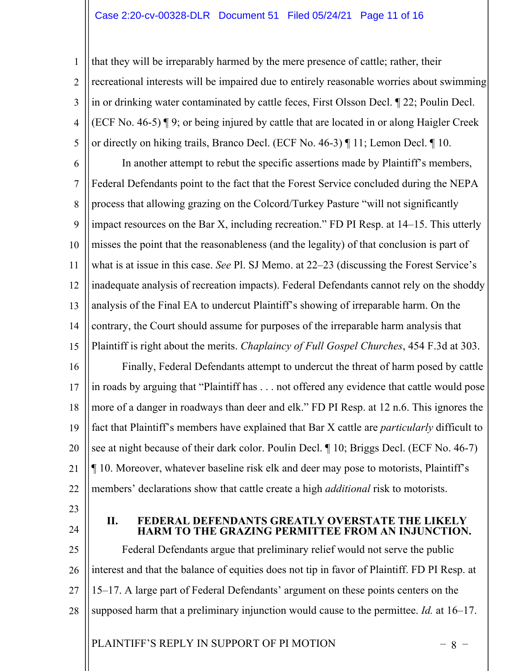# Case 2:20-cv-00328-DLR Document 51 Filed 05/24/21 Page 11 of 16

1 2 3 4 5 that they will be irreparably harmed by the mere presence of cattle; rather, their recreational interests will be impaired due to entirely reasonable worries about swimming in or drinking water contaminated by cattle feces, First Olsson Decl. ¶ 22; Poulin Decl. (ECF No. 46-5) ¶ 9; or being injured by cattle that are located in or along Haigler Creek or directly on hiking trails, Branco Decl. (ECF No. 46-3) ¶ 11; Lemon Decl. ¶ 10.

6 7 8 9 10 11 12 13 14 15 16 17 18 19 20 21 22 In another attempt to rebut the specific assertions made by Plaintiff's members, Federal Defendants point to the fact that the Forest Service concluded during the NEPA process that allowing grazing on the Colcord/Turkey Pasture "will not significantly impact resources on the Bar X, including recreation." FD PI Resp. at 14–15. This utterly misses the point that the reasonableness (and the legality) of that conclusion is part of what is at issue in this case. *See* Pl. SJ Memo. at 22–23 (discussing the Forest Service's inadequate analysis of recreation impacts). Federal Defendants cannot rely on the shoddy analysis of the Final EA to undercut Plaintiff's showing of irreparable harm. On the contrary, the Court should assume for purposes of the irreparable harm analysis that Plaintiff is right about the merits. *Chaplaincy of Full Gospel Churches*, 454 F.3d at 303. Finally, Federal Defendants attempt to undercut the threat of harm posed by cattle in roads by arguing that "Plaintiff has . . . not offered any evidence that cattle would pose more of a danger in roadways than deer and elk." FD PI Resp. at 12 n.6. This ignores the fact that Plaintiff's members have explained that Bar X cattle are *particularly* difficult to see at night because of their dark color. Poulin Decl. ¶ 10; Briggs Decl. (ECF No. 46-7) ¶ 10. Moreover, whatever baseline risk elk and deer may pose to motorists, Plaintiff's members' declarations show that cattle create a high *additional* risk to motorists.

23

24

**II. FEDERAL DEFENDANTS GREATLY OVERSTATE THE L HARM TO THE GRAZING PERMITTEE FROM AN INJUNCTION.**

25 26 27 28 Federal Defendants argue that preliminary relief would not serve the public interest and that the balance of equities does not tip in favor of Plaintiff. FD PI Resp. at 15–17. A large part of Federal Defendants' argument on these points centers on the supposed harm that a preliminary injunction would cause to the permittee. *Id.* at 16–17.

PLAINTIFF'S REPLY IN SUPPORT OF PI MOTION  $-8$  –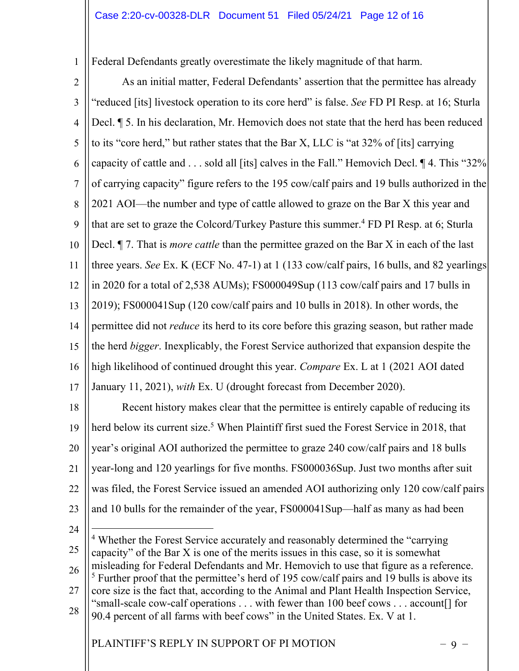1 Federal Defendants greatly overestimate the likely magnitude of that harm.

2

3 4 5 6 7 8 9 10 11 12 13 14 15 16 17 As an initial matter, Federal Defendants' assertion that the permittee has already "reduced [its] livestock operation to its core herd" is false. *See* FD PI Resp. at 16; Sturla Decl. ¶ 5. In his declaration, Mr. Hemovich does not state that the herd has been reduced to its "core herd," but rather states that the Bar X, LLC is "at 32% of [its] carrying capacity of cattle and . . . sold all [its] calves in the Fall." Hemovich Decl. ¶ 4. This "32% of carrying capacity" figure refers to the 195 cow/calf pairs and 19 bulls authorized in the 2021 AOI—the number and type of cattle allowed to graze on the Bar X this year and that are set to graze the Colcord/Turkey Pasture this summer.<sup>4</sup> FD PI Resp. at 6; Sturla Decl. ¶ 7. That is *more cattle* than the permittee grazed on the Bar X in each of the last three years. *See* Ex. K (ECF No. 47-1) at 1 (133 cow/calf pairs, 16 bulls, and 82 yearlings in 2020 for a total of 2,538 AUMs); FS000049Sup (113 cow/calf pairs and 17 bulls in 2019); FS000041Sup (120 cow/calf pairs and 10 bulls in 2018). In other words, the permittee did not *reduce* its herd to its core before this grazing season, but rather made the herd *bigger*. Inexplicably, the Forest Service authorized that expansion despite the high likelihood of continued drought this year. *Compare* Ex. L at 1 (2021 AOI dated January 11, 2021), *with* Ex. U (drought forecast from December 2020). Recent history makes clear that the permittee is entirely capable of reducing its

18 19 20 21 22 23 herd below its current size. <sup>5</sup> When Plaintiff first sued the Forest Service in 2018, that year's original AOI authorized the permittee to graze 240 cow/calf pairs and 18 bulls year-long and 120 yearlings for five months. FS000036Sup. Just two months after suit was filed, the Forest Service issued an amended AOI authorizing only 120 cow/calf pairs and 10 bulls for the remainder of the year, FS000041Sup—half as many as had been

24

25 26 27 28 <sup>4</sup> Whether the Forest Service accurately and reasonably determined the "carrying" capacity" of the Bar X is one of the merits issues in this case, so it is somewhat misleading for Federal Defendants and Mr. Hemovich to use that figure as a reference. <sup>5</sup> Further proof that the permittee's herd of 195 cow/calf pairs and 19 bulls is above its core size is the fact that, according to the Animal and Plant Health Inspection Service, "small-scale cow-calf operations . . . with fewer than 100 beef cows . . . account[] for 90.4 percent of all farms with beef cows" in the United States. Ex. V at 1.

PLAINTIFF'S REPLY IN SUPPORT OF PI MOTION  $-9 -$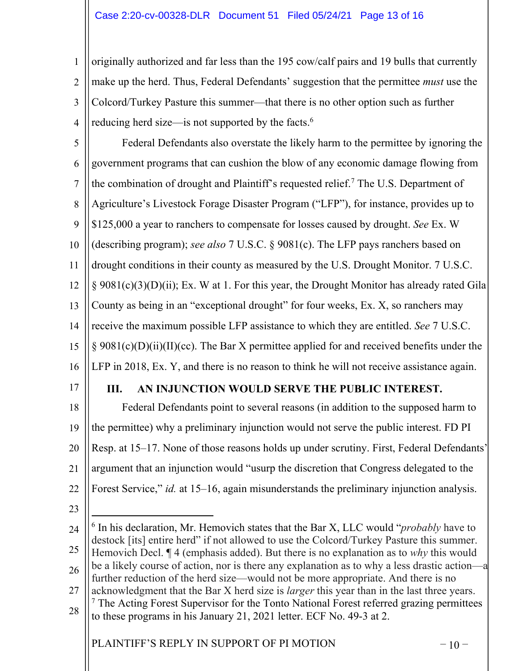1 2 3 4 originally authorized and far less than the 195 cow/calf pairs and 19 bulls that currently make up the herd. Thus, Federal Defendants' suggestion that the permittee *must* use the Colcord/Turkey Pasture this summer—that there is no other option such as further reducing herd size—is not supported by the facts.<sup>6</sup>

5 6 7 8 9 10 11 12 13 14 15 16 Federal Defendants also overstate the likely harm to the permittee by ignoring the government programs that can cushion the blow of any economic damage flowing from the combination of drought and Plaintiff's requested relief.7 The U.S. Department of Agriculture's Livestock Forage Disaster Program ("LFP"), for instance, provides up to \$125,000 a year to ranchers to compensate for losses caused by drought. *See* Ex. W (describing program); *see also* 7 U.S.C. § 9081(c). The LFP pays ranchers based on drought conditions in their county as measured by the U.S. Drought Monitor. 7 U.S.C. § 9081(c)(3)(D)(ii); Ex. W at 1. For this year, the Drought Monitor has already rated Gila County as being in an "exceptional drought" for four weeks, Ex. X, so ranchers may receive the maximum possible LFP assistance to which they are entitled. *See* 7 U.S.C. § 9081(c)(D)(ii)(II)(cc). The Bar X permittee applied for and received benefits under the LFP in 2018, Ex. Y, and there is no reason to think he will not receive assistance again.

17

# **III. AN INJUNCTION WOULD SERVE THE PUBLIC INTEREST.**

18 19 20 21 22 Federal Defendants point to several reasons (in addition to the supposed harm to the permittee) why a preliminary injunction would not serve the public interest. FD PI Resp. at 15–17. None of those reasons holds up under scrutiny. First, Federal Defendants' argument that an injunction would "usurp the discretion that Congress delegated to the Forest Service," *id.* at 15–16, again misunderstands the preliminary injunction analysis.

23

24 25 26 27 28 <sup>6</sup> In his declaration, Mr. Hemovich states that the Bar X, LLC would "*probably* have to destock [its] entire herd" if not allowed to use the Colcord/Turkey Pasture this summer. Hemovich Decl. ¶ 4 (emphasis added). But there is no explanation as to *why* this would be a likely course of action, nor is there any explanation as to why a less drastic action—a further reduction of the herd size—would not be more appropriate. And there is no acknowledgment that the Bar X herd size is *larger* this year than in the last three years.  $<sup>7</sup>$  The Acting Forest Supervisor for the Tonto National Forest referred grazing permittees</sup> to these programs in his January 21, 2021 letter. ECF No. 49-3 at 2.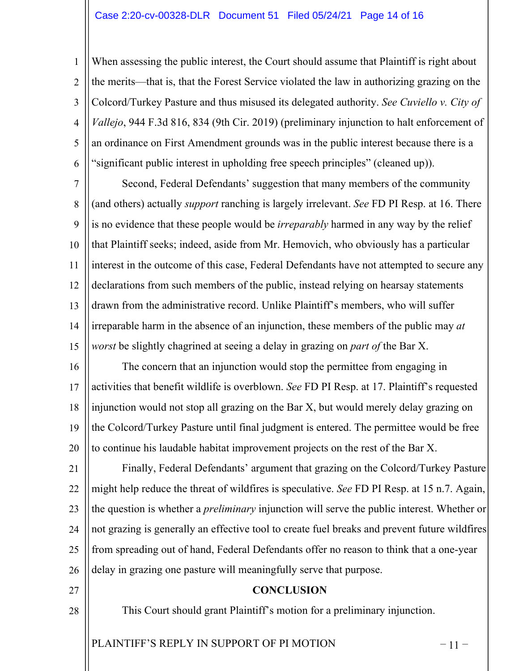## Case 2:20-cv-00328-DLR Document 51 Filed 05/24/21 Page 14 of 16

1 2 3 4 5 6 When assessing the public interest, the Court should assume that Plaintiff is right about the merits—that is, that the Forest Service violated the law in authorizing grazing on the Colcord/Turkey Pasture and thus misused its delegated authority. *See Cuviello v. City of Vallejo*, 944 F.3d 816, 834 (9th Cir. 2019) (preliminary injunction to halt enforcement of an ordinance on First Amendment grounds was in the public interest because there is a "significant public interest in upholding free speech principles" (cleaned up)).

7 8 9 10 11 12 13 14 15 Second, Federal Defendants' suggestion that many members of the community (and others) actually *support* ranching is largely irrelevant. *See* FD PI Resp. at 16. There is no evidence that these people would be *irreparably* harmed in any way by the relief that Plaintiff seeks; indeed, aside from Mr. Hemovich, who obviously has a particular interest in the outcome of this case, Federal Defendants have not attempted to secure any declarations from such members of the public, instead relying on hearsay statements drawn from the administrative record. Unlike Plaintiff's members, who will suffer irreparable harm in the absence of an injunction, these members of the public may *at worst* be slightly chagrined at seeing a delay in grazing on *part of* the Bar X.

16 17 18 19 20 The concern that an injunction would stop the permittee from engaging in activities that benefit wildlife is overblown. *See* FD PI Resp. at 17. Plaintiff's requested injunction would not stop all grazing on the Bar X, but would merely delay grazing on the Colcord/Turkey Pasture until final judgment is entered. The permittee would be free to continue his laudable habitat improvement projects on the rest of the Bar X.

21 22 23 24 25 26 Finally, Federal Defendants' argument that grazing on the Colcord/Turkey Pasture might help reduce the threat of wildfires is speculative. *See* FD PI Resp. at 15 n.7. Again, the question is whether a *preliminary* injunction will serve the public interest. Whether or not grazing is generally an effective tool to create fuel breaks and prevent future wildfires from spreading out of hand, Federal Defendants offer no reason to think that a one-year delay in grazing one pasture will meaningfully serve that purpose.

- 27
- 28

## **CONCLUSION**

This Court should grant Plaintiff's motion for a preliminary injunction.

PLAINTIFF'S REPLY IN SUPPORT OF PI MOTION  $-11$  –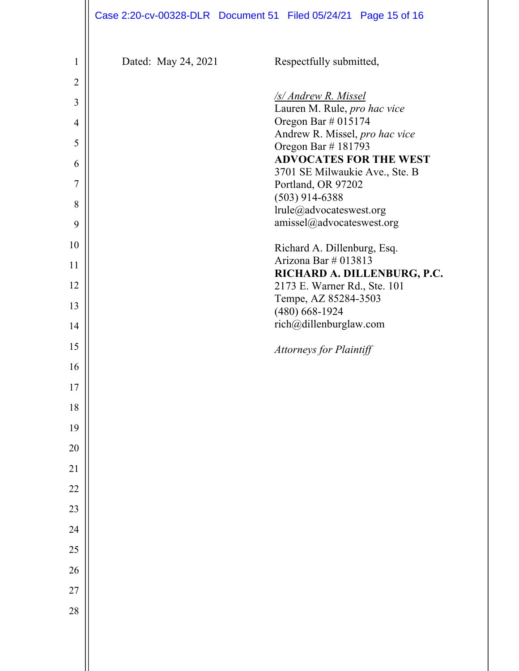|                 | Case 2:20-cv-00328-DLR  Document 51  Filed 05/24/21  Page 15 of 16 |                                                        |  |
|-----------------|--------------------------------------------------------------------|--------------------------------------------------------|--|
| $\mathbf{1}$    | Dated: May 24, 2021                                                | Respectfully submitted,                                |  |
| $\overline{2}$  |                                                                    |                                                        |  |
| 3               |                                                                    | /s/ Andrew R. Missel                                   |  |
| $\overline{4}$  |                                                                    | Lauren M. Rule, pro hac vice<br>Oregon Bar $\#$ 015174 |  |
| 5               |                                                                    | Andrew R. Missel, pro hac vice<br>Oregon Bar #181793   |  |
| 6               |                                                                    | <b>ADVOCATES FOR THE WEST</b>                          |  |
| $\overline{7}$  |                                                                    | 3701 SE Milwaukie Ave., Ste. B<br>Portland, OR 97202   |  |
| 8               |                                                                    | $(503)$ 914-6388                                       |  |
| 9               |                                                                    | lrule@advocateswest.org<br>amissel@advocateswest.org   |  |
| 10              |                                                                    | Richard A. Dillenburg, Esq.                            |  |
| 11              |                                                                    | Arizona Bar # 013813<br>RICHARD A. DILLENBURG, P.C.    |  |
| 12              |                                                                    | 2173 E. Warner Rd., Ste. 101                           |  |
| 13              |                                                                    | Tempe, AZ 85284-3503<br>$(480)$ 668-1924               |  |
| 14              |                                                                    | rich@dillenburglaw.com                                 |  |
| 15              |                                                                    | <b>Attorneys for Plaintiff</b>                         |  |
| 16              |                                                                    |                                                        |  |
| 17              |                                                                    |                                                        |  |
| 18              |                                                                    |                                                        |  |
| 19              |                                                                    |                                                        |  |
| 20              |                                                                    |                                                        |  |
| $\overline{21}$ |                                                                    |                                                        |  |
| 22              |                                                                    |                                                        |  |
| 23              |                                                                    |                                                        |  |
| 24              |                                                                    |                                                        |  |
| 25              |                                                                    |                                                        |  |
| 26              |                                                                    |                                                        |  |
| 27              |                                                                    |                                                        |  |
| 28              |                                                                    |                                                        |  |
|                 |                                                                    |                                                        |  |
|                 |                                                                    |                                                        |  |